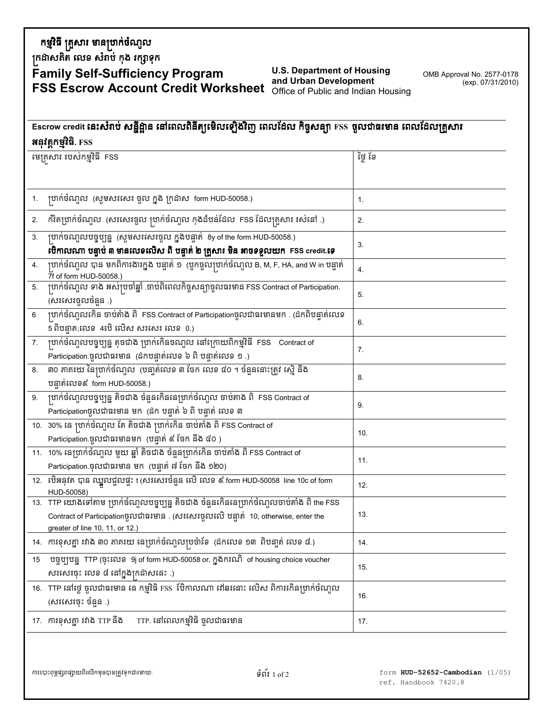## កម្មវិធី គ្រួសារ មានប្រាក់ចំណូល

គ្រដាសគិត លេខ សំរាប់ កុង រក្សាទុក

## **Family Self-Sufficiency Program**<br>FSS Escrow Account Credit Worksheet of Public and Indian Housing<br>FSS Escrow Account Credit Worksheet Office of Public and Indian Housing

OMB Approval No. 2577-0178 (exp. 07/31/2010)

## Escrow credit នេះសំរាប់ សន្នីដ្ឋាន នៅពេលពិនីត្យូម៉េលឡើងវិញ ពេលដែល កិច្ចសន្យា FSS ចូលជាធរមាន ពេលដែលគ្រួសារ អនុវត្តកម្មវិធិ. FSS

| មេគ្រសារ របស់កម្មវិធី FSS |                                                                                                                                                                                                                  | នៅ ថ្ងៃ |
|---------------------------|------------------------------------------------------------------------------------------------------------------------------------------------------------------------------------------------------------------|---------|
|                           |                                                                                                                                                                                                                  |         |
|                           | បាក់ចំណុល (សូមសរសេរ ចូល ក្នុង ក្រដាស  form HUD-50058.)                                                                                                                                                           | 1.      |
| 2.                        | កិរិតប្រាក់ចំណូល  (សរសេរចូល ប្រាក់ចំណូល កុងដំបន់ដែល  FSS ដែលគ្រួសារ រស់នៅ .)                                                                                                                                     | 2.      |
| 3.                        | ប្រាក់ចណ្បាបបច្ចុប្បន្ន (សូមសរសេរចូល ក្នុងបន្ទាត់ 8y of the form HUD-50058.)<br>បើកាលណា បន្ទាប់ ៣ មានលេខលើស ពិ បន្ទាត់ ២ គ្រួសារ មិន អាចទទួលយក  FSS credit.ទេ                                                    | 3.      |
| 4.                        | ប្រាក់ចំណូល បាន មកពិការងារក្នុង បន្ទាត់ ១  (បូកចូលប្រាក់ចំណូល B, M, F, HA, and W in បន្ទាត់<br>7f of form HUD-50058.)                                                                                            | 4.      |
| 5.                        | ប្រាក់ចំណួល ទាង អស់ប្រចាំឆ្នាំ ,ចាប់ពិពេលកិច្ចសន្យាចូលធរមាន FSS Contract of Participation.<br>(សរសេរចូលចំនួន)                                                                                                    | 5.      |
| $\,6\,$                   | ្រហក់ចំណូលកើន ចាប់តំាង ពិ  FSS Contract of Participationចូលជាធរមានមក . (ដកពិបន្ទាត់លេខ<br>5 ពិបន្ទាត;លេខ  4ប៊េ លេិស សរសេរ លេខ  0.)                                                                               | 6.      |
| 7.                        | ប្រាក់ចំណូលបច្ចុប្បន្ន តុចជាង ប្រាក់កើនចណូល នៅក្រោយពិកម្មវិធី FSS Contract of<br>Participation ចូលជាធរមាន (ដកបន្ទាត់លេខ ៦ ពិ បន្ទាត់លេខ ១ .)                                                                     | 7.      |
| 8.                        | ៣០ ភាគរយ នៃប្រាក់ចំណូល  (បនា្ទត់លេខ ៣ ចែក លេខ ៨០ ។ ចំនួននោះត្រូវ ស្ម៊េំ និង<br>បន្ទាត់លេខ៩ form HUD-50058.)                                                                                                      | 8.      |
|                           | 9. ប្រាក់ចំណូលបច្ចុប្បន្ន តិចជាង ចំនួនកើននេហ្រាក់ចំណូល ចាប់តាង ពិ  FSS Contract of<br>Participationចូលជាធរមាន មក  (ដក បន្ទាត់ ៦ ពិ បន្ទាត់ លេខ ៣                                                                 | 9.      |
|                           | 10. 30% គេ ប្រាក់ចំណូល តែ តិចជាង ប្រាក់កើន ចាប់តាំង ពិ FSS Contract of<br>Participation.ចូលជាធរមានមក (បន្ទាត់ ៩ ថែក នឹង ៨០ )                                                                                     | 10.     |
|                           | 11. 10%  នេហ្រាក់ចំណូល មួយ ឆ្នាំ តិចជាង ចំនួនប្រាក់កើន ចាប់តាំង ពិ FSS Contract of<br>Participation ចុលជាធរមាន មក (បន្ទាត់ ៧ ថែក និង ១២០)                                                                        | 11.     |
|                           | 12.  ប៊េីអនុវត បាន ឈ្នួលជួលផ្ទះ t (សរសេរចំនួន លេិ លេខ ៩ form HUD-50058 line 10c of form<br>HUD-50058)                                                                                                            | 12.     |
|                           | 13. TTP យោងទៅតាម ប្រាក់ចំណូលបច្ចុប្បន្ន តិចជាង ចំនួនកើននេប្រាក់ចំណូលចាប់តាំង ពិ the FSS<br>Contract of Participationចូលជាធរមាន . (សរសេរចូលលើ បន្ទាត់ 10, otherwise, enter the<br>greater of line 10, 11, or 12.) | 13.     |
|                           | 14.  ការខុសគ្នា រវាង ៣០ ភាគរយ នេប្រាក់ចំណុលប្រចំាខែ  (ដកលេខ ១៣  ពិបនា្ទត់ លេខ ៨.)                                                                                                                                | 14.     |
|                           | 15 បច្ចុប្បបន្ន TTP (ចុះលេខ 9j of form HUD-50058 or, ក្នុងករណី of housing choice voucher<br>សរសេរចុះ លេខ ៨ នៅក្នុងក្រដាសនេះ .)                                                                                   | 15.     |
|                           | 16. TTP នៅថ្ងៃ ចូលជាធរមាន នេ កម្មវិធិ FSS ប៊ែកាលណា នៅឆរនោះ លេិស ពិការកើនប្រាក់ចំណូល<br>(សរសេរចុះ ចំនួន .)                                                                                                        | 16.     |
|                           | 17. ការខុសគ្នា រវាង TTP និង<br>TTP. នៅពេលកម្មវិធិ ចូលជាធរមាន                                                                                                                                                     | 17.     |